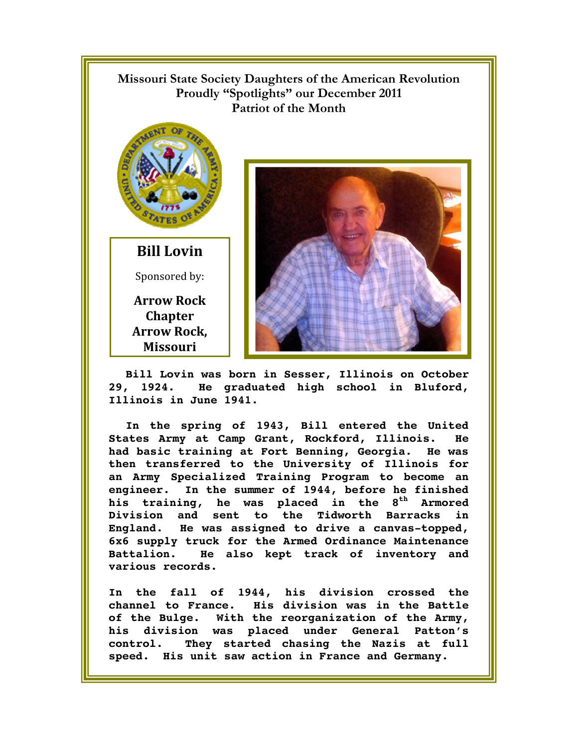

**Bill Lovin was born in Sesser, Illinois on October 29, 1924. He graduated high school in Bluford, Illinois in June 1941.** 

**In the spring of 1943, Bill entered the United States Army at Camp Grant, Rockford, Illinois. He had basic training at Fort Benning, Georgia. He was then transferred to the University of Illinois for an Army Specialized Training Program to become an engineer. In the summer of 1944, before he finished**  his training, he was placed in the 8<sup>th</sup> Armored **Division and sent to the Tidworth Barracks in England. He was assigned to drive a canvas-topped, 6x6 supply truck for the Armed Ordinance Maintenance Battalion. He also kept track of inventory and various records.** 

**In the fall of 1944, his division crossed the channel to France. His division was in the Battle of the Bulge. With the reorganization of the Army, his division was placed under General Patton's control. They started chasing the Nazis at full speed. His unit saw action in France and Germany.**